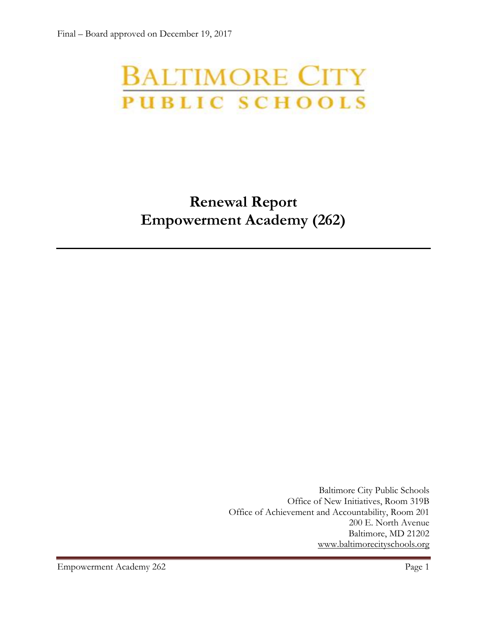# **BALTIMORE CITY**<br>PUBLIC SCHOOLS

# **Renewal Report Empowerment Academy (262)**

Baltimore City Public Schools Office of New Initiatives, Room 319B Office of Achievement and Accountability, Room 201 200 E. North Avenue Baltimore, MD 21202 [www.baltimorecityschools.org](http://www.baltimorecityschools.org/)

Empowerment Academy 262 Page 1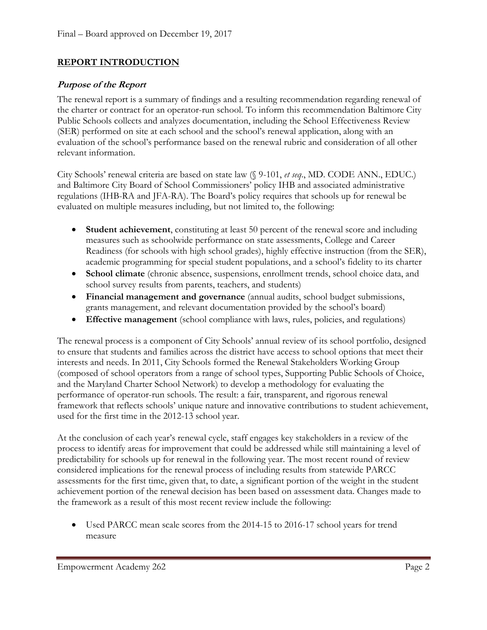#### **REPORT INTRODUCTION**

#### **Purpose of the Report**

The renewal report is a summary of findings and a resulting recommendation regarding renewal of the charter or contract for an operator-run school. To inform this recommendation Baltimore City Public Schools collects and analyzes documentation, including the School Effectiveness Review (SER) performed on site at each school and the school's renewal application, along with an evaluation of the school's performance based on the renewal rubric and consideration of all other relevant information.

City Schools' renewal criteria are based on state law (§ 9-101, *et seq*., MD. CODE ANN., EDUC.) and Baltimore City Board of School Commissioners' policy IHB and associated administrative regulations (IHB-RA and JFA-RA). The Board's policy requires that schools up for renewal be evaluated on multiple measures including, but not limited to, the following:

- **Student achievement**, constituting at least 50 percent of the renewal score and including measures such as schoolwide performance on state assessments, College and Career Readiness (for schools with high school grades), highly effective instruction (from the SER), academic programming for special student populations, and a school's fidelity to its charter
- **School climate** (chronic absence, suspensions, enrollment trends, school choice data, and school survey results from parents, teachers, and students)
- **Financial management and governance** (annual audits, school budget submissions, grants management, and relevant documentation provided by the school's board)
- **Effective management** (school compliance with laws, rules, policies, and regulations)

The renewal process is a component of City Schools' annual review of its school portfolio, designed to ensure that students and families across the district have access to school options that meet their interests and needs. In 2011, City Schools formed the Renewal Stakeholders Working Group (composed of school operators from a range of school types, Supporting Public Schools of Choice, and the Maryland Charter School Network) to develop a methodology for evaluating the performance of operator-run schools. The result: a fair, transparent, and rigorous renewal framework that reflects schools' unique nature and innovative contributions to student achievement, used for the first time in the 2012-13 school year.

At the conclusion of each year's renewal cycle, staff engages key stakeholders in a review of the process to identify areas for improvement that could be addressed while still maintaining a level of predictability for schools up for renewal in the following year. The most recent round of review considered implications for the renewal process of including results from statewide PARCC assessments for the first time, given that, to date, a significant portion of the weight in the student achievement portion of the renewal decision has been based on assessment data. Changes made to the framework as a result of this most recent review include the following:

 Used PARCC mean scale scores from the 2014-15 to 2016-17 school years for trend measure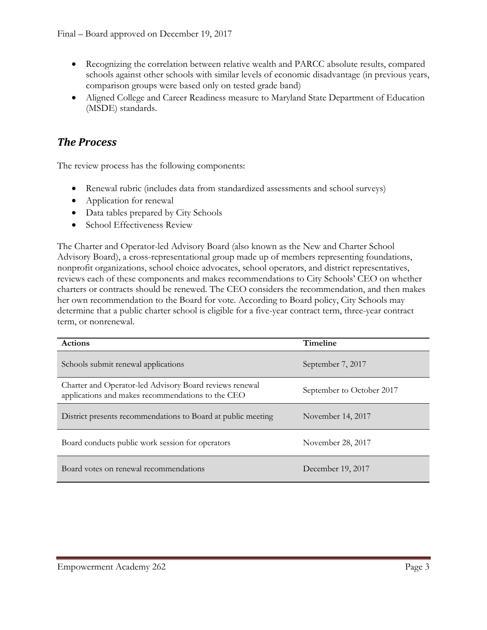- Recognizing the correlation between relative wealth and PARCC absolute results, compared schools against other schools with similar levels of economic disadvantage (in previous years, comparison groups were based only on tested grade band)
- Aligned College and Career Readiness measure to Maryland State Department of Education (MSDE) standards.

## *The Process*

The review process has the following components:

- Renewal rubric (includes data from standardized assessments and school surveys)
- Application for renewal
- Data tables prepared by City Schools
- School Effectiveness Review

The Charter and Operator-led Advisory Board (also known as the New and Charter School Advisory Board), a cross-representational group made up of members representing foundations, nonprofit organizations, school choice advocates, school operators, and district representatives, reviews each of these components and makes recommendations to City Schools' CEO on whether charters or contracts should be renewed. The CEO considers the recommendation, and then makes her own recommendation to the Board for vote. According to Board policy, City Schools may determine that a public charter school is eligible for a five-year contract term, three-year contract term, or nonrenewal.

| <b>Actions</b>                                                                                               | Timeline                  |
|--------------------------------------------------------------------------------------------------------------|---------------------------|
| Schools submit renewal applications                                                                          | September 7, 2017         |
| Charter and Operator-led Advisory Board reviews renewal<br>applications and makes recommendations to the CEO | September to October 2017 |
| District presents recommendations to Board at public meeting                                                 | November 14, 2017         |
| Board conducts public work session for operators                                                             | November 28, 2017         |
| Board votes on renewal recommendations                                                                       | December 19, 2017         |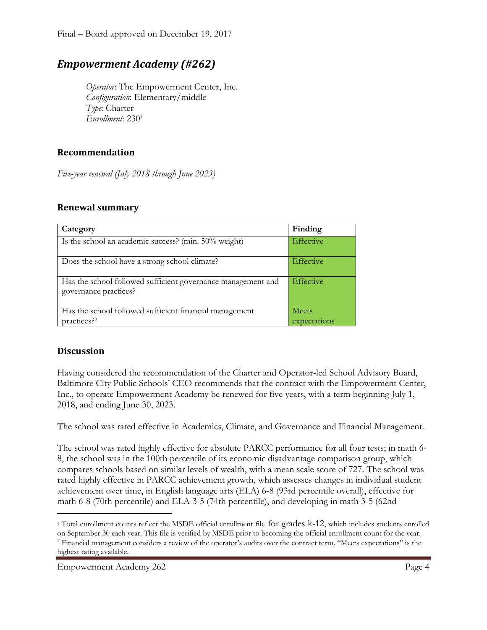# *Empowerment Academy (#262)*

*Operator*: The Empowerment Center, Inc. *Configuration*: Elementary/middle *Type*: Charter *Enrollment*: 230<sup>1</sup>

#### **Recommendation**

*Five-year renewal (July 2018 through June 2023)*

#### **Renewal summary**

| Category                                                                              | Finding                      |
|---------------------------------------------------------------------------------------|------------------------------|
| Is the school an academic success? (min. 50% weight)                                  | Effective                    |
| Does the school have a strong school climate?                                         | Effective                    |
| Has the school followed sufficient governance management and<br>governance practices? | Effective                    |
| Has the school followed sufficient financial management<br>practices? <sup>2</sup>    | <b>Meets</b><br>expectations |

#### **Discussion**

Having considered the recommendation of the Charter and Operator-led School Advisory Board, Baltimore City Public Schools' CEO recommends that the contract with the Empowerment Center, Inc., to operate Empowerment Academy be renewed for five years, with a term beginning July 1, 2018, and ending June 30, 2023.

The school was rated effective in Academics, Climate, and Governance and Financial Management.

The school was rated highly effective for absolute PARCC performance for all four tests; in math 6- 8, the school was in the 100th percentile of its economic disadvantage comparison group, which compares schools based on similar levels of wealth, with a mean scale score of 727. The school was rated highly effective in PARCC achievement growth, which assesses changes in individual student achievement over time, in English language arts (ELA) 6-8 (93rd percentile overall), effective for math 6-8 (70th percentile) and ELA 3-5 (74th percentile), and developing in math 3-5 (62nd

 $\overline{\phantom{a}}$ 

<sup>1</sup> Total enrollment counts reflect the MSDE official enrollment file for grades k-12, which includes students enrolled on September 30 each year. This file is verified by MSDE prior to becoming the official enrollment count for the year. <sup>2</sup> Financial management considers a review of the operator's audits over the contract term. "Meets expectations" is the

highest rating available.

Empowerment Academy 262 Page 4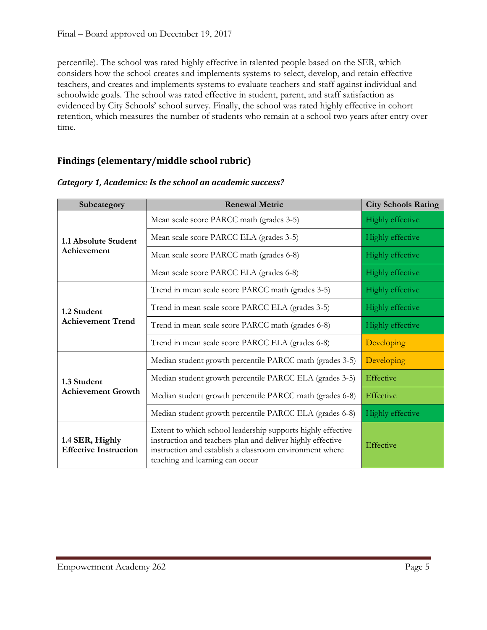percentile). The school was rated highly effective in talented people based on the SER, which considers how the school creates and implements systems to select, develop, and retain effective teachers, and creates and implements systems to evaluate teachers and staff against individual and schoolwide goals. The school was rated effective in student, parent, and staff satisfaction as evidenced by City Schools' school survey. Finally, the school was rated highly effective in cohort retention, which measures the number of students who remain at a school two years after entry over time.

### **Findings (elementary/middle school rubric)**

| Subcategory                                     | <b>Renewal Metric</b>                                                                                                                                                                                                   | <b>City Schools Rating</b> |
|-------------------------------------------------|-------------------------------------------------------------------------------------------------------------------------------------------------------------------------------------------------------------------------|----------------------------|
| 1.1 Absolute Student<br>Achievement             | Mean scale score PARCC math (grades 3-5)                                                                                                                                                                                | Highly effective           |
|                                                 | Mean scale score PARCC ELA (grades 3-5)                                                                                                                                                                                 | Highly effective           |
|                                                 | Mean scale score PARCC math (grades 6-8)                                                                                                                                                                                | Highly effective           |
|                                                 | Mean scale score PARCC ELA (grades 6-8)                                                                                                                                                                                 | Highly effective           |
| 1.2 Student<br><b>Achievement Trend</b>         | Trend in mean scale score PARCC math (grades 3-5)                                                                                                                                                                       | Highly effective           |
|                                                 | Trend in mean scale score PARCC ELA (grades 3-5)                                                                                                                                                                        | Highly effective           |
|                                                 | Trend in mean scale score PARCC math (grades 6-8)                                                                                                                                                                       | Highly effective           |
|                                                 | Trend in mean scale score PARCC ELA (grades 6-8)                                                                                                                                                                        | Developing                 |
| 1.3 Student<br><b>Achievement Growth</b>        | Median student growth percentile PARCC math (grades 3-5)                                                                                                                                                                | Developing                 |
|                                                 | Median student growth percentile PARCC ELA (grades 3-5)                                                                                                                                                                 | Effective                  |
|                                                 | Median student growth percentile PARCC math (grades 6-8)                                                                                                                                                                | Effective                  |
|                                                 | Median student growth percentile PARCC ELA (grades 6-8)                                                                                                                                                                 | <b>Highly effective</b>    |
| 1.4 SER, Highly<br><b>Effective Instruction</b> | Extent to which school leadership supports highly effective<br>instruction and teachers plan and deliver highly effective<br>instruction and establish a classroom environment where<br>teaching and learning can occur |                            |

*Category 1, Academics: Is the school an academic success?*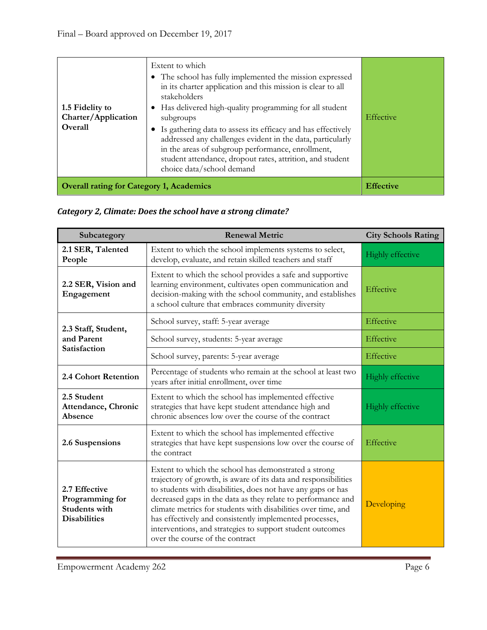| 1.5 Fidelity to<br>Charter/Application<br>Overall | Extent to which<br>• The school has fully implemented the mission expressed<br>in its charter application and this mission is clear to all<br>stakeholders<br>• Has delivered high-quality programming for all student<br>subgroups<br>Is gathering data to assess its efficacy and has effectively<br>addressed any challenges evident in the data, particularly<br>in the areas of subgroup performance, enrollment,<br>student attendance, dropout rates, attrition, and student<br>choice data/school demand | Effective        |
|---------------------------------------------------|------------------------------------------------------------------------------------------------------------------------------------------------------------------------------------------------------------------------------------------------------------------------------------------------------------------------------------------------------------------------------------------------------------------------------------------------------------------------------------------------------------------|------------------|
| <b>Overall rating for Category 1, Academics</b>   |                                                                                                                                                                                                                                                                                                                                                                                                                                                                                                                  | <b>Effective</b> |

|  |  |  | Category 2, Climate: Does the school have a strong climate? |  |
|--|--|--|-------------------------------------------------------------|--|
|--|--|--|-------------------------------------------------------------|--|

| Subcategory                                                                     | <b>Renewal Metric</b>                                                                                                                                                                                                                                                                                                                                                                                                                                                               | <b>City Schools Rating</b> |
|---------------------------------------------------------------------------------|-------------------------------------------------------------------------------------------------------------------------------------------------------------------------------------------------------------------------------------------------------------------------------------------------------------------------------------------------------------------------------------------------------------------------------------------------------------------------------------|----------------------------|
| 2.1 SER, Talented<br>People                                                     | Extent to which the school implements systems to select,<br>develop, evaluate, and retain skilled teachers and staff                                                                                                                                                                                                                                                                                                                                                                | Highly effective           |
| 2.2 SER, Vision and<br>Engagement                                               | Extent to which the school provides a safe and supportive<br>learning environment, cultivates open communication and<br>decision-making with the school community, and establishes<br>a school culture that embraces community diversity                                                                                                                                                                                                                                            | Effective                  |
| 2.3 Staff, Student,                                                             | School survey, staff: 5-year average                                                                                                                                                                                                                                                                                                                                                                                                                                                | Effective                  |
| and Parent<br>Satisfaction                                                      | School survey, students: 5-year average                                                                                                                                                                                                                                                                                                                                                                                                                                             | Effective                  |
|                                                                                 | School survey, parents: 5-year average                                                                                                                                                                                                                                                                                                                                                                                                                                              | Effective                  |
| 2.4 Cohort Retention                                                            | Percentage of students who remain at the school at least two<br>years after initial enrollment, over time                                                                                                                                                                                                                                                                                                                                                                           | Highly effective           |
| 2.5 Student<br>Attendance, Chronic<br>Absence                                   | Extent to which the school has implemented effective<br>strategies that have kept student attendance high and<br>chronic absences low over the course of the contract                                                                                                                                                                                                                                                                                                               | <b>Highly effective</b>    |
| 2.6 Suspensions                                                                 | Extent to which the school has implemented effective<br>strategies that have kept suspensions low over the course of<br>the contract                                                                                                                                                                                                                                                                                                                                                |                            |
| 2.7 Effective<br>Programming for<br><b>Students with</b><br><b>Disabilities</b> | Extent to which the school has demonstrated a strong<br>trajectory of growth, is aware of its data and responsibilities<br>to students with disabilities, does not have any gaps or has<br>decreased gaps in the data as they relate to performance and<br>climate metrics for students with disabilities over time, and<br>has effectively and consistently implemented processes,<br>interventions, and strategies to support student outcomes<br>over the course of the contract | Developing                 |